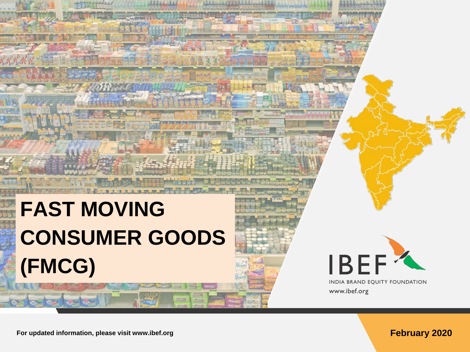# **FAST MOVING CONSUMER GOODS (FMCG)**



INDIA BRAND EQUITY FOUNDATION www.ibef.org

**For updated information, please visit www.ibef.org February 2020**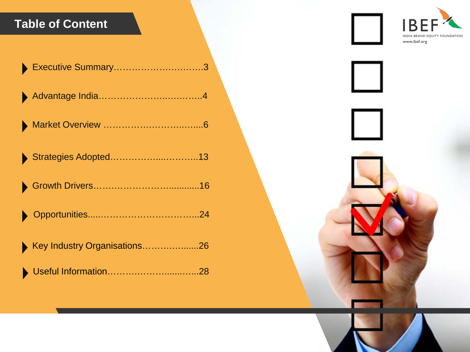### **Table of Content**

| Executive Summary3           |
|------------------------------|
|                              |
|                              |
| Strategies Adopted13         |
|                              |
|                              |
| Key Industry Organisations26 |
|                              |

B INDIA BRAND EQUITY FOUNDATION www.ibef.org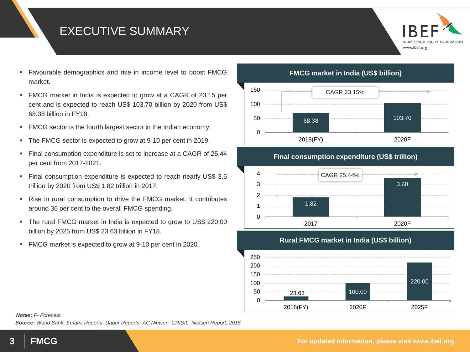#### EXECUTIVE SUMMARY



- Favourable demographics and rise in income level to boost FMCG market.
- FMCG market in India is expected to grow at a CAGR of 23.15 per cent and is expected to reach US\$ 103.70 billion by 2020 from US\$ 68.38 billion in FY18.
- FMCG sector is the fourth largest sector in the Indian economy.
- The FMCG sector is expected to grow at 9-10 per cent in 2019.
- Final consumption expenditure is set to increase at a CAGR of 25.44 per cent from 2017-2021.
- Final consumption expenditure is expected to reach nearly US\$ 3.6 trillion by 2020 from US\$ 1.82 trillion in 2017.
- Rise in rural consumption to drive the FMCG market. It contributes around 36 per cent to the overall FMCG spending.
- The rural FMCG market in India is expected to grow to US\$ 220.00 billion by 2025 from US\$ 23.63 billion in FY18.
- FMCG market is expected to grow at 9-10 per cent in 2020.

**FMCG market in India (US\$ billion)**



**Final consumption expenditure (US\$ trillion)**



**Rural FMCG market in India (US\$ billion)** 23.63 100.00 220.00  $\Omega$ 50 100 150 200 250 2018(FY) 2020F 2025F

#### *Notes: F- Forecast*

*Source: World Bank, Emami Reports, Dabur Reports, AC Nielsen, CRISIL, Nielsen Report, 2018*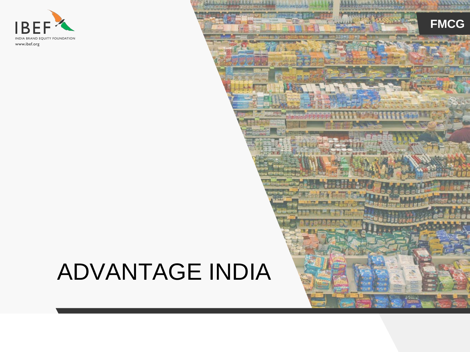

## ADVANTAGE INDIA

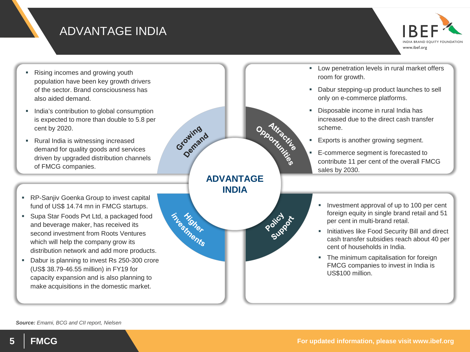#### ADVANTAGE INDIA

www.ibef.org

- Rising incomes and growing youth population have been key growth drivers of the sector. Brand consciousness has also aided demand.
- **India's contribution to global consumption** is expected to more than double to 5.8 per cent by 2020.
- Rural India is witnessing increased demand for quality goods and services driven by upgraded distribution channels of FMCG companies.
- **RP-Sanjiv Goenka Group to invest capital** fund of US\$ 14.74 mn in FMCG startups.
- Supa Star Foods Pvt Ltd, a packaged food and beverage maker, has received its second investment from Roots Ventures which will help the company grow its distribution network and add more products.
- Dabur is planning to invest Rs 250-300 crore (US\$ 38.79-46.55 million) in FY19 for capacity expansion and is also planning to make acquisitions in the domestic market.

**Low penetration levels in rural market offers** room for growth.

- Dabur stepping-up product launches to sell only on e-commerce platforms.
- Disposable income in rural India has increased due to the direct cash transfer scheme.
- **Exports is another growing segment.**

**ADVANTAGE INDIA**

pportunité de la Carte de la

Policy of

Growing

Growing

thesiments

- E-commerce segment is forecasted to contribute 11 per cent of the overall FMCG sales by 2030.
- Investment approval of up to 100 per cent foreign equity in single brand retail and 51 per cent in multi-brand retail.
- Initiatives like Food Security Bill and direct cash transfer subsidies reach about 40 per cent of households in India.
- The minimum capitalisation for foreign FMCG companies to invest in India is US\$100 million.

*Source: Emami, BCG and CII report, Nielsen*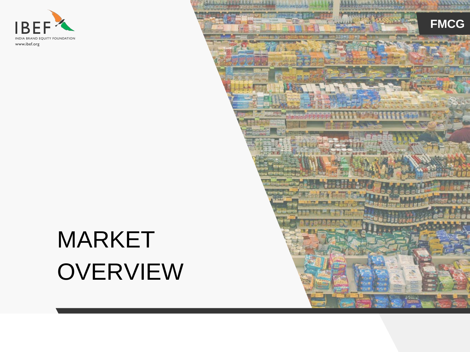

# MARKET **OVERVIEW**

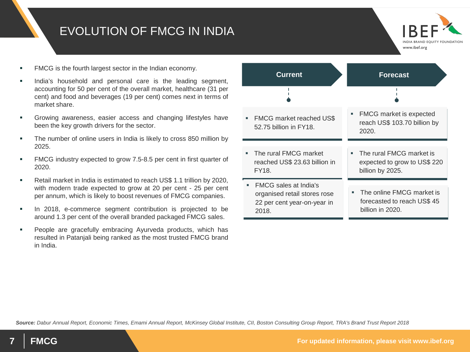#### EVOLUTION OF FMCG IN INDIA



- FMCG is the fourth largest sector in the Indian economy.
- India's household and personal care is the leading segment, accounting for 50 per cent of the overall market, healthcare (31 per cent) and food and beverages (19 per cent) comes next in terms of market share.
- Growing awareness, easier access and changing lifestyles have been the key growth drivers for the sector.
- The number of online users in India is likely to cross 850 million by 2025.
- **FMCG** industry expected to grow 7.5-8.5 per cent in first quarter of 2020.
- Retail market in India is estimated to reach US\$ 1.1 trillion by 2020, with modern trade expected to grow at 20 per cent - 25 per cent per annum, which is likely to boost revenues of FMCG companies.
- In 2018, e-commerce segment contribution is projected to be around 1.3 per cent of the overall branded packaged FMCG sales.
- People are gracefully embracing Ayurveda products, which has resulted in Patanjali being ranked as the most trusted FMCG brand in India.



*Source: Dabur Annual Report, Economic Times, Emami Annual Report, McKinsey Global Institute, CII, Boston Consulting Group Report, TRA's Brand Trust Report 2018*

**7 FMCG For updated information, please visit www.ibef.org**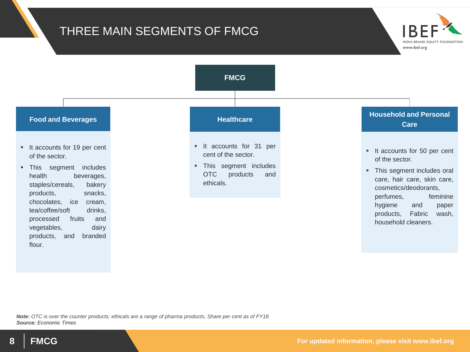#### THREE MAIN SEGMENTS OF FMCG



*Note: OTC is over the counter products; ethicals are a range of pharma products, Share per cent as of FY18 Source: Economic Times*

**INDIA BRAND EQUIT** www.ibef.org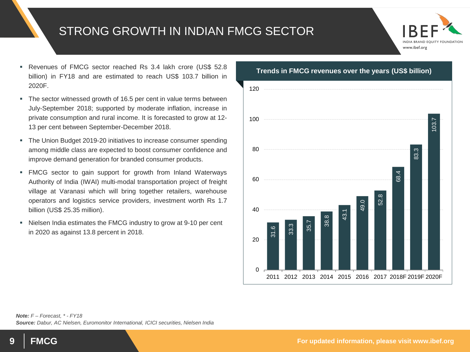#### STRONG GROWTH IN INDIAN FMCG SECTOR



- Revenues of FMCG sector reached Rs 3.4 lakh crore (US\$ 52.8 billion) in FY18 and are estimated to reach US\$ 103.7 billion in 2020F.
- The sector witnessed growth of 16.5 per cent in value terms between July-September 2018; supported by moderate inflation, increase in private consumption and rural income. It is forecasted to grow at 12- 13 per cent between September-December 2018.
- The Union Budget 2019-20 initiatives to increase consumer spending among middle class are expected to boost consumer confidence and improve demand generation for branded consumer products.
- FMCG sector to gain support for growth from Inland Waterways Authority of India (IWAI) multi-modal transportation project of freight village at Varanasi which will bring together retailers, warehouse operators and logistics service providers, investment worth Rs 1.7 billion (US\$ 25.35 million).
- Nielsen India estimates the FMCG industry to grow at 9-10 per cent in 2020 as against 13.8 percent in 2018.

### $31.6$ <br>33.3<br> $35.7$ <br> $43.1$ <br> $43.1$ <br> $49.0$ <br>52.8 68.4 83.3 103.7 0 20 40 60 80 100 120 2011 2012 2013 2014 2015 2016 2017 2018F 2019F 2020F

#### **Trends in FMCG revenues over the years (US\$ billion)**

*Note: F – Forecast, \* - FY18 Source: Dabur, AC Nielsen, Euromonitor International, ICICI securities, Nielsen India*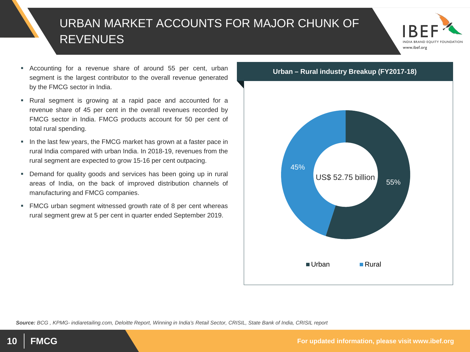### URBAN MARKET ACCOUNTS FOR MAJOR CHUNK OF REVENUES



- Accounting for a revenue share of around 55 per cent, urban segment is the largest contributor to the overall revenue generated by the FMCG sector in India.
- Rural segment is growing at a rapid pace and accounted for a revenue share of 45 per cent in the overall revenues recorded by FMCG sector in India. FMCG products account for 50 per cent of total rural spending.
- In the last few years, the FMCG market has grown at a faster pace in rural India compared with urban India. In 2018-19, revenues from the rural segment are expected to grow 15-16 per cent outpacing.
- Demand for quality goods and services has been going up in rural areas of India, on the back of improved distribution channels of manufacturing and FMCG companies.
- **FMCG** urban segment witnessed growth rate of 8 per cent whereas rural segment grew at 5 per cent in quarter ended September 2019.



*Source: BCG , KPMG- indiaretailing.com, Deloitte Report, Winning in India's Retail Sector, CRISIL, State Bank of India, CRISIL report*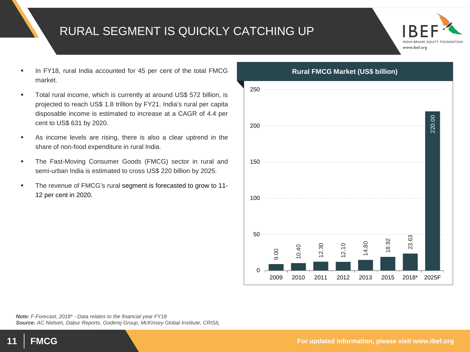#### RURAL SEGMENT IS QUICKLY CATCHING UP



- In FY18, rural India accounted for 45 per cent of the total FMCG market.
- Total rural income, which is currently at around US\$ 572 billion, is projected to reach US\$ 1.8 trillion by FY21. India's rural per capita disposable income is estimated to increase at a CAGR of 4.4 per cent to US\$ 631 by 2020.
- As income levels are rising, there is also a clear uptrend in the share of non-food expenditure in rural India.
- **The Fast-Moving Consumer Goods (FMCG) sector in rural and** semi-urban India is estimated to cross US\$ 220 billion by 2025.
- The revenue of FMCG's rural segment is forecasted to grow to 11-12 per cent in 2020.



*Note: F-Forecast, 2018\* - Data relates to the financial year FY18 Source: AC Nielsen, Dabur Reports, Goderej Group, McKinsey Global Institute, CRISIL*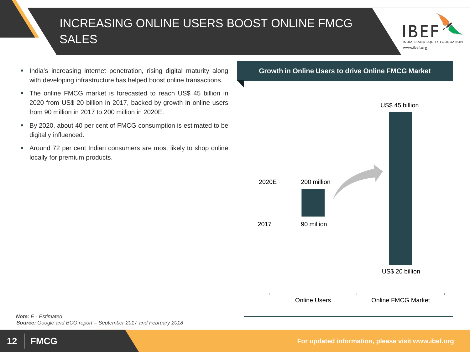### INCREASING ONLINE USERS BOOST ONLINE FMCG SALES



- **India's increasing internet penetration, rising digital maturity along** with developing infrastructure has helped boost online transactions.
- The online FMCG market is forecasted to reach US\$ 45 billion in 2020 from US\$ 20 billion in 2017, backed by growth in online users from 90 million in 2017 to 200 million in 2020E.
- By 2020, about 40 per cent of FMCG consumption is estimated to be digitally influenced.
- Around 72 per cent Indian consumers are most likely to shop online locally for premium products.

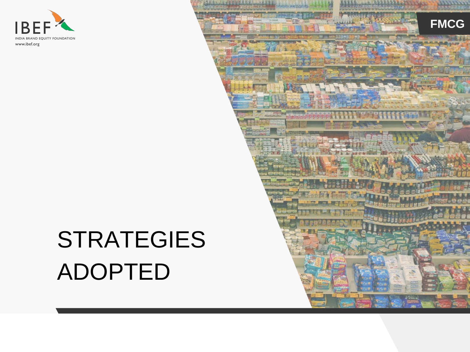

## STRATEGIES ADOPTED

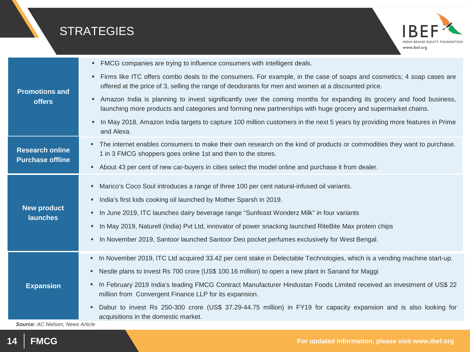### **STRATEGIES**



| <b>Promotions and</b><br><b>offers</b>            | FMCG companies are trying to influence consumers with intelligent deals.<br>п                                                                                                                                                              |
|---------------------------------------------------|--------------------------------------------------------------------------------------------------------------------------------------------------------------------------------------------------------------------------------------------|
|                                                   | Firms like ITC offers combo deals to the consumers. For example, in the case of soaps and cosmetics; 4 soap cases are<br>п<br>offered at the price of 3, selling the range of deodorants for men and women at a discounted price.          |
|                                                   | Amazon India is planning to invest significantly over the coming months for expanding its grocery and food business,<br>п<br>launching more products and categories and forming new partnerships with huge grocery and supermarket chains. |
|                                                   | In May 2018, Amazon India targets to capture 100 million customers in the next 5 years by providing more features in Prime<br>٠<br>and Alexa.                                                                                              |
| <b>Research online</b><br><b>Purchase offline</b> | The internet enables consumers to make their own research on the kind of products or commodities they want to purchase.<br>٠<br>1 in 3 FMCG shoppers goes online 1st and then to the stores.                                               |
|                                                   | About 43 per cent of new car-buyers in cities select the model online and purchase it from dealer.<br>٠                                                                                                                                    |
| <b>New product</b><br><b>launches</b>             | Marico's Coco Soul introduces a range of three 100 per cent natural-infused oil variants.<br>п                                                                                                                                             |
|                                                   | India's first kids cooking oil launched by Mother Sparsh in 2019.<br>٠                                                                                                                                                                     |
|                                                   | In June 2019, ITC launches dairy beverage range "Sunfeast Wonderz Milk" in four variants<br>٠                                                                                                                                              |
|                                                   | In May 2019, Naturell (India) Pvt Ltd, innovator of power snacking launched RiteBite Max protein chips<br>٠                                                                                                                                |
|                                                   | In November 2019, Santoor launched Santoor Deo pocket perfumes exclusively for West Bengal.<br>٠                                                                                                                                           |
|                                                   | In November 2019, ITC Ltd acquired 33.42 per cent stake in Delectable Technologies, which is a vending machine start-up.<br>п                                                                                                              |
| <b>Expansion</b>                                  | Nestle plans to invest Rs 700 crore (US\$ 100.16 million) to open a new plant in Sanand for Maggi<br>٠                                                                                                                                     |
|                                                   | In February 2019 India's leading FMCG Contract Manufacturer Hindustan Foods Limited received an investment of US\$ 22<br>٠<br>million from Convergent Finance LLP for its expansion.                                                       |
|                                                   | Dabur to invest Rs 250-300 crore (US\$ 37.29-44.75 million) in FY19 for capacity expansion and is also looking for<br>٠<br>acquisitions in the domestic market.                                                                            |

*Source: AC Nielsen, News Article*

**14 FMCG For updated information, please visit www.ibef.org**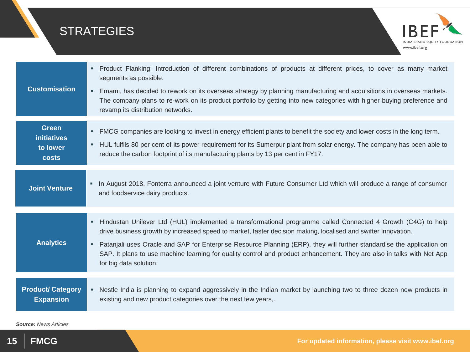

*Source: News Articles*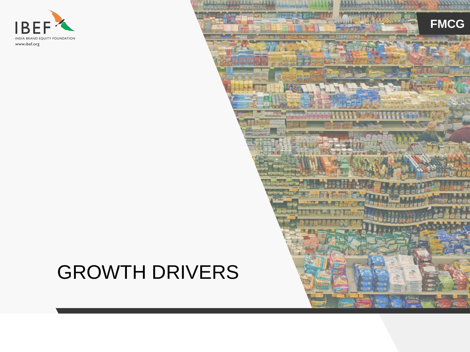

## GROWTH DRIVERS

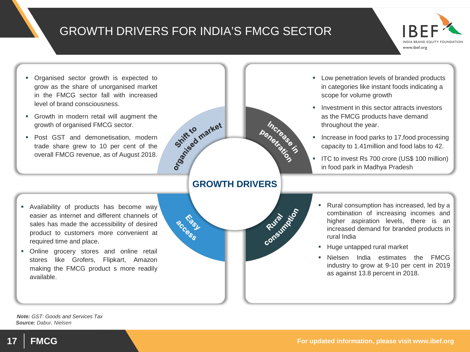#### GROWTH DRIVERS FOR INDIA'S FMCG SECTOR

Schiff to market



- Organised sector growth is expected to grow as the share of unorganised market in the FMCG sector fall with increased level of brand consciousness.
- Growth in modern retail will augment the growth of organised FMCG sector.
- **Post GST and demonetisation, moderned** trade share grew to 10 per cent of the overall FMCG revenue, as of August 2018.



penetrate is

- **Low penetration levels of branded products** in categories like instant foods indicating a scope for volume growth
- **IDID** Investment in this sector attracts investors as the FMCG products have demand throughout the year.
- Increase in food parks to 17,food processing capacity to 1.41million and food labs to 42.
- **IFC to invest Rs 700 crore (US\$ 100 million)** in food park in Madhya Pradesh

- Availability of products has become way easier as internet and different channels of sales has made the accessibility of desired product to customers more convenient at required time and place.
- Online grocery stores and online retail stores like Grofers, Flipkart, Amazon making the FMCG product s more readily available.



- Rural consumption has increased, led by a combination of increasing incomes and higher aspiration levels, there is an increased demand for branded products in rural India
- **Huge untapped rural market**
- Nielsen India estimates the FMCG industry to grow at 9-10 per cent in 2019 as against 13.8 percent in 2018.

*Source: Dabur, Nielsen Note: GST: Goods and Services Tax*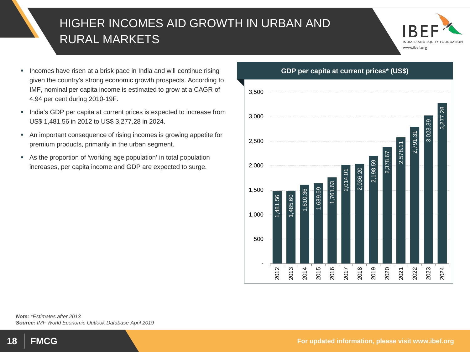### HIGHER INCOMES AID GROWTH IN URBAN AND RURAL MARKETS



- **Incomes have risen at a brisk pace in India and will continue rising** given the country's strong economic growth prospects. According to IMF, nominal per capita income is estimated to grow at a CAGR of 4.94 per cent during 2010-19F.
- **India's GDP per capita at current prices is expected to increase from** US\$ 1,481.56 in 2012 to US\$ 3,277.28 in 2024.
- An important consequence of rising incomes is growing appetite for premium products, primarily in the urban segment.
- As the proportion of 'working age population' in total population increases, per capita income and GDP are expected to surge.

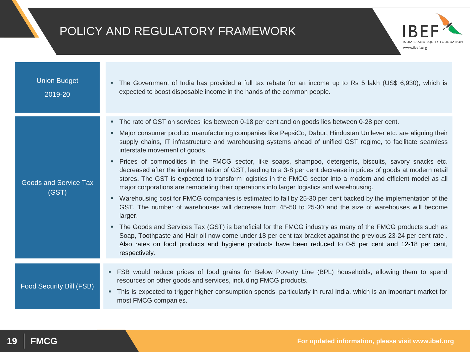#### POLICY AND REGULATORY FRAMEWORK



www.ibef.org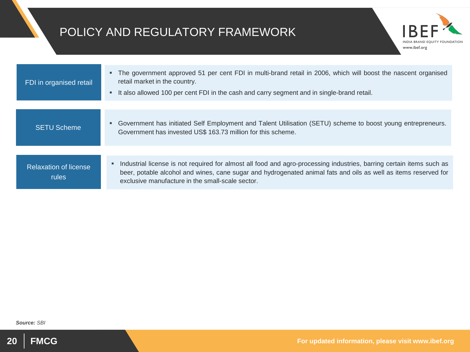#### POLICY AND REGULATORY FRAMEWORK

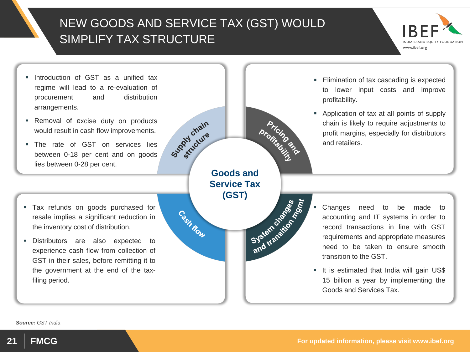### NEW GOODS AND SERVICE TAX (GST) WOULD SIMPLIFY TAX STRUCTURE



- **Introduction of GST as a unified tax** regime will lead to a re-evaluation of procurement and distribution arrangements.
- **Removal of excise duty on products** would result in cash flow improvements.
- The rate of GST on services lies between 0-18 per cent and on goods lies between 0-28 per cent.
- Tax refunds on goods purchased for resale implies a significant reduction in the inventory cost of distribution.
- Distributors are also expected to experience cash flow from collection of GST in their sales, before remitting it to the government at the end of the taxfiling period.

Supply chain **Goods and Service Tax (GST)** Cash Row

- **Elimination of tax cascading is expected** to lower input costs and improve profitability.
- Application of tax at all points of supply chain is likely to require adjustments to profit margins, especially for distributors and retailers.

- Systems in order to<br>Systems in order to<br>Systems in order to<br>record transactions in line with GST<br>requirements and appropriate measures<br>need to be taken to ensure smooth accounting and IT systems in order to record transactions in line with GST requirements and appropriate measures need to be taken to ensure smooth transition to the GST.
	- It is estimated that India will gain US\$ 15 billion a year by implementing the Goods and Services Tax.

*Source: GST India*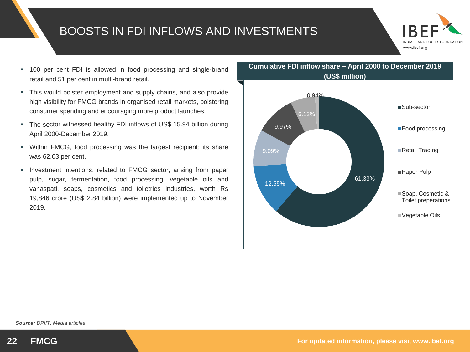#### BOOSTS IN FDI INFLOWS AND INVESTMENTS



- 100 per cent FDI is allowed in food processing and single-brand retail and 51 per cent in multi-brand retail.
- This would bolster employment and supply chains, and also provide high visibility for FMCG brands in organised retail markets, bolstering consumer spending and encouraging more product launches.
- The sector witnessed healthy FDI inflows of US\$ 15.94 billion during April 2000-December 2019.
- Within FMCG, food processing was the largest recipient; its share was 62.03 per cent.
- **Investment intentions, related to FMCG sector, arising from paper** pulp, sugar, fermentation, food processing, vegetable oils and vanaspati, soaps, cosmetics and toiletries industries, worth Rs 19,846 crore (US\$ 2.84 billion) were implemented up to November 2019.





**22 FMCG FMCG FMCG FMCG** *FMCG* **For updated information, please visit www.ibef.org**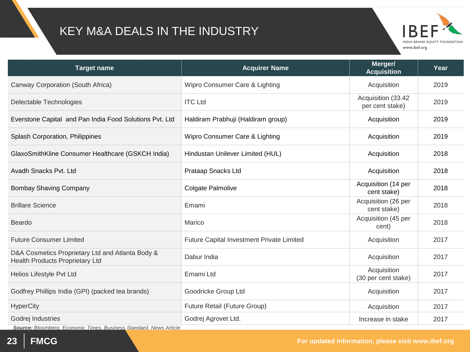### KEY M&A DEALS IN THE INDUSTRY



| <b>Target name</b>                                                                  | <b>Acquirer Name</b>                      | Merger/<br><b>Acquisition</b>         | Year |
|-------------------------------------------------------------------------------------|-------------------------------------------|---------------------------------------|------|
| Canway Corporation (South Africa)                                                   | Wipro Consumer Care & Lighting            | Acquisition                           | 2019 |
| Delectable Technologies                                                             | <b>ITC Ltd</b>                            | Acquisition (33.42<br>per cent stake) | 2019 |
| Everstone Capital and Pan India Food Solutions Pvt. Ltd                             | Haldiram Prabhuji (Haldiram group)        | Acquisition                           | 2019 |
| Splash Corporation, Philippines                                                     | Wipro Consumer Care & Lighting            | Acquisition                           | 2019 |
| GlaxoSmithKline Consumer Healthcare (GSKCH India)                                   | Hindustan Unilever Limited (HUL)          | Acquisition                           | 2018 |
| Avadh Snacks Pvt. Ltd                                                               | Prataap Snacks Ltd                        | Acquisition                           | 2018 |
| <b>Bombay Shaving Company</b>                                                       | Colgate Palmolive                         | Acquisition (14 per<br>cent stake)    | 2018 |
| <b>Brillare Science</b>                                                             | Emami                                     | Acquisition (26 per<br>cent stake)    | 2018 |
| <b>Beardo</b>                                                                       | Marico                                    | Acquisition (45 per<br>cent)          | 2018 |
| <b>Future Consumer Limited</b>                                                      | Future Capital Investment Private Limited | Acquisition                           | 2017 |
| D&A Cosmetics Proprietary Ltd and Atlanta Body &<br>Health Products Proprietary Ltd | Dabur India                               | Acquisition                           | 2017 |
| Helios Lifestyle Pvt Ltd                                                            | Emami Ltd                                 | Acquisition<br>(30 per cent stake)    | 2017 |
| Godfrey Phillips India (GPI) (packed tea brands)                                    | Goodricke Group Ltd                       | Acquisition                           | 2017 |
| <b>HyperCity</b>                                                                    | Future Retail (Future Group)              | Acquisition                           | 2017 |
| Godrej Industries<br>$\sim$ $\sim$ $\sim$ $\sim$ $\sim$ $\sim$                      | Godrej Agrovet Ltd.                       | Increase in stake                     | 2017 |

*Source: Bloomberg, Economic Times, Business Standard, News Article*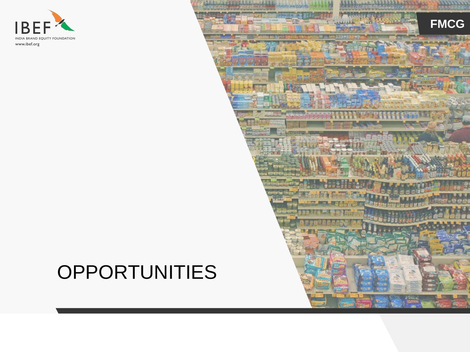

## **OPPORTUNITIES**

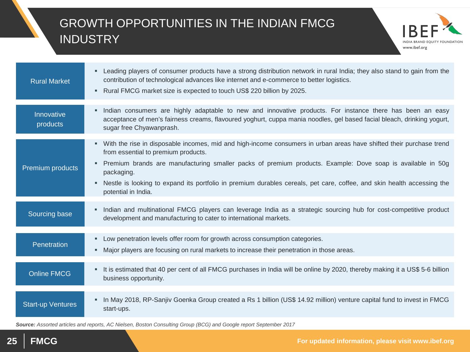### GROWTH OPPORTUNITIES IN THE INDIAN FMCG **INDUSTRY**



| <b>Rural Market</b>      | Leading players of consumer products have a strong distribution network in rural India; they also stand to gain from the<br>٠<br>contribution of technological advances like internet and e-commerce to better logistics.<br>Rural FMCG market size is expected to touch US\$ 220 billion by 2025.<br>٠                                                                                                                                                |
|--------------------------|--------------------------------------------------------------------------------------------------------------------------------------------------------------------------------------------------------------------------------------------------------------------------------------------------------------------------------------------------------------------------------------------------------------------------------------------------------|
| Innovative<br>products   | Indian consumers are highly adaptable to new and innovative products. For instance there has been an easy<br>٠<br>acceptance of men's fairness creams, flavoured yoghurt, cuppa mania noodles, gel based facial bleach, drinking yogurt,<br>sugar free Chyawanprash.                                                                                                                                                                                   |
| Premium products         | With the rise in disposable incomes, mid and high-income consumers in urban areas have shifted their purchase trend<br>٠<br>from essential to premium products.<br>Premium brands are manufacturing smaller packs of premium products. Example: Dove soap is available in 50g<br>٠<br>packaging.<br>Nestle is looking to expand its portfolio in premium durables cereals, pet care, coffee, and skin health accessing the<br>٠<br>potential in India. |
| Sourcing base            | • Indian and multinational FMCG players can leverage India as a strategic sourcing hub for cost-competitive product<br>development and manufacturing to cater to international markets.                                                                                                                                                                                                                                                                |
| Penetration              | Low penetration levels offer room for growth across consumption categories.<br>٠<br>Major players are focusing on rural markets to increase their penetration in those areas.<br>٠                                                                                                                                                                                                                                                                     |
| <b>Online FMCG</b>       | It is estimated that 40 per cent of all FMCG purchases in India will be online by 2020, thereby making it a US\$ 5-6 billion<br>٠<br>business opportunity.                                                                                                                                                                                                                                                                                             |
| <b>Start-up Ventures</b> | In May 2018, RP-Sanjiv Goenka Group created a Rs 1 billion (US\$ 14.92 million) venture capital fund to invest in FMCG<br>start-ups.                                                                                                                                                                                                                                                                                                                   |

*Source: Assorted articles and reports, AC Nielsen, Boston Consulting Group (BCG) and Google report September 2017*

**25 FMCG For updated information, please visit www.ibef.org**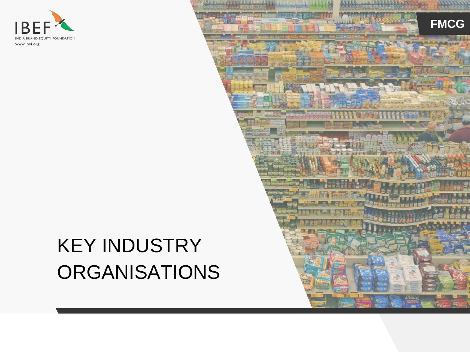

## KEY INDUSTRY ORGANISATIONS

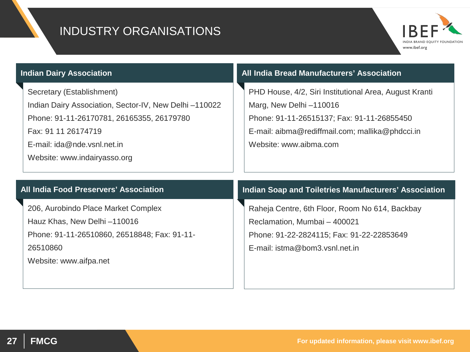#### INDUSTRY ORGANISATIONS



Secretary (Establishment)

Indian Dairy Association, Sector-IV, New Delhi –110022 Phone: 91-11-26170781, 26165355, 26179780

Fax: 91 11 26174719

E-mail: ida@nde.vsnl.net.in

Website: www.indairyasso.org

#### **Visakhapatnam port traffic (million tonnes) Indian Dairy Association All India Bread Manufacturers' Association**

PHD House, 4/2, Siri Institutional Area, August Kranti Marg, New Delhi –110016 Phone: 91-11-26515137; Fax: 91-11-26855450 E-mail: aibma@rediffmail.com; mallika@phdcci.in Website: www.aibma.com

#### **All India Food Preservers' Association**

206, Aurobindo Place Market Complex Hauz Khas, New Delhi –110016 Phone: 91-11-26510860, 26518848; Fax: 91-11- 26510860 Website: www.aifpa.net

#### **Indian Soap and Toiletries Manufacturers' Association**

Raheja Centre, 6th Floor, Room No 614, Backbay Reclamation, Mumbai – 400021 Phone: 91-22-2824115; Fax: 91-22-22853649 E-mail: istma@bom3.vsnl.net.in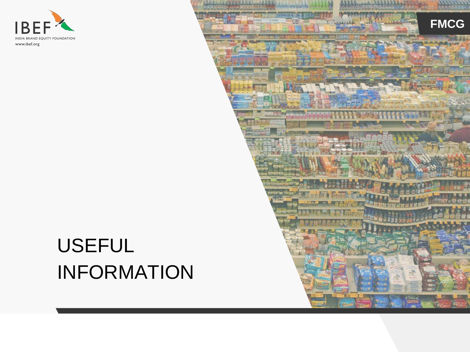

## USEFUL INFORMATION

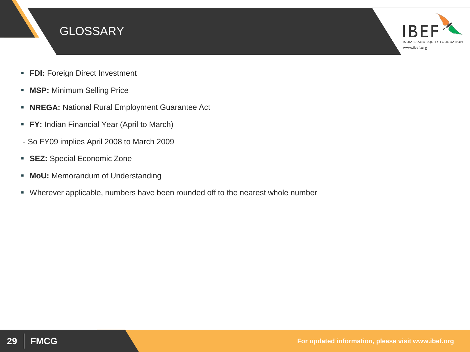



- **FDI: Foreign Direct Investment**
- **MSP:** Minimum Selling Price
- **NREGA:** National Rural Employment Guarantee Act
- **FY:** Indian Financial Year (April to March)
- So FY09 implies April 2008 to March 2009
- **SEZ:** Special Economic Zone
- **MoU:** Memorandum of Understanding
- Wherever applicable, numbers have been rounded off to the nearest whole number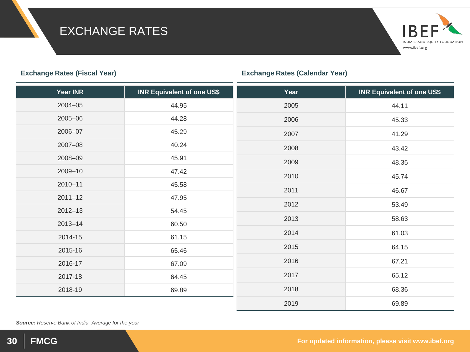#### EXCHANGE RATES

#### **Year INR INR Equivalent of one US\$**  2004–05 44.95 2005–06 44.28 2006–07 45.29 2007–08 40.24 2008–09 45.91 2009–10 47.42 2010–11 45.58 2011–12 47.95 2012–13 54.45 2013–14 60.50 2014-15 61.15 2015-16 65.46 2016-17 67.09 2017-18 64.45 2018-19 69.89 **Year INR Equivalent of one US\$** 2005 44.11 2006 45.33 2007 41.29 2008 43.42 2009 48.35 2010 45.74 2011 46.67 2012 53.49 2013 58.63 2014 61.03 2015 64.15 2016 67.21 2017 65.12 2018 68.36 2019 69.89

*Source: Reserve Bank of India, Average for the year*



**Exchange Rates (Fiscal Year) Exchange Rates (Calendar Year)**